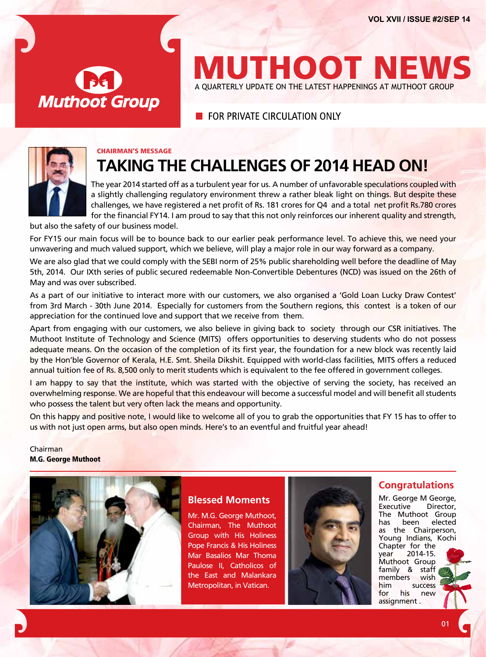

# **MUTHOOT NEWS** A QUARTERLY UPDATE ON THE LATEST HAPPENINGS AT MUTHOOT GROUP

**E** FOR PRIVATE CIRCUI ATION ONLY



# Chairman's Message **Taking the challenges of 2014 head on!**

The year 2014 started off as a turbulent year for us. A number of unfavorable speculations coupled with a slightly challenging regulatory environment threw a rather bleak light on things. But despite these challenges, we have registered a net profit of Rs. 181 crores for Q4 and a total net profit Rs.780 crores for the financial FY14. I am proud to say that this not only reinforces our inherent quality and strength,

but also the safety of our business model.

For FY15 our main focus will be to bounce back to our earlier peak performance level. To achieve this, we need your unwavering and much valued support, which we believe, will play a major role in our way forward as a company.

We are also glad that we could comply with the SEBI norm of 25% public shareholding well before the deadline of May 5th, 2014. Our IXth series of public secured redeemable Non-Convertible Debentures (NCD) was issued on the 26th of May and was over subscribed.

As a part of our initiative to interact more with our customers, we also organised a 'Gold Loan Lucky Draw Contest' from 3rd March - 30th June 2014. Especially for customers from the Southern regions, this contest is a token of our appreciation for the continued love and support that we receive from them.

Apart from engaging with our customers, we also believe in giving back to society through our CSR initiatives. The Muthoot Institute of Technology and Science (MITS) offers opportunities to deserving students who do not possess adequate means. On the occasion of the completion of its first year, the foundation for a new block was recently laid by the Hon'ble Governor of Kerala, H.E. Smt. Sheila Dikshit. Equipped with world-class facilities, MITS offers a reduced annual tuition fee of Rs. 8,500 only to merit students which is equivalent to the fee offered in government colleges.

I am happy to say that the institute, which was started with the objective of serving the society, has received an overwhelming response. We are hopeful that this endeavour will become a successful model and will benefit all students who possess the talent but very often lack the means and opportunity.

On this happy and positive note, I would like to welcome all of you to grab the opportunities that FY 15 has to offer to us with not just open arms, but also open minds. Here's to an eventful and fruitful year ahead!

Chairman M.G. George Muthoot



# **Blessed Moments**

Mr. M.G. George Muthoot, Chairman, The Muthoot Group with His Holiness Pope Francis & His Holiness Mar Basalios Mar Thoma Paulose II, Catholicos of the East and Malankara Metropolitan, in Vatican.



## **Congratulations**

Mr. George M George,<br>Executive Director. Executive The Muthoot Group has been elected as the Chairperson, Young Indians, Kochi Chapter for the year 2014-15. Muthoot Group family & staff members wish him success for his new assignment .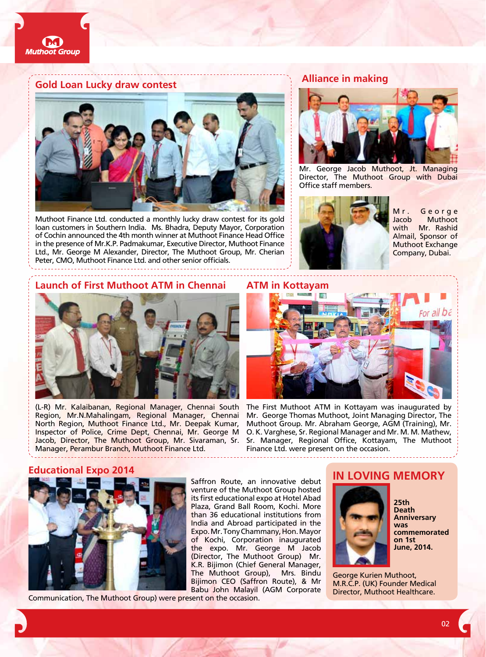

## **Gold Loan Lucky draw contest**



Muthoot Finance Ltd. conducted a monthly lucky draw contest for its gold loan customers in Southern India. Ms. Bhadra, Deputy Mayor, Corporation of Cochin announced the 4th month winner at Muthoot Finance Head Office in the presence of Mr.K.P. Padmakumar, Executive Director, Muthoot Finance Ltd., Mr. George M Alexander, Director, The Muthoot Group, Mr. Cherian Peter, CMO, Muthoot Finance Ltd. and other senior officials.

#### **Alliance in making**



Mr. George Jacob Muthoot, Jt. Managing Director, The Muthoot Group with Dubai Office staff members.



Mr. George Jacob Muthoot with Mr. Rashid Almail, Sponsor of Muthoot Exchange Company, Dubai.

#### **Launch of First Muthoot ATM in Chennai ATM in Kottayam**



(L-R) Mr. Kalaibanan, Regional Manager, Chennai South Region, Mr.N.Mahalingam, Regional Manager, Chennai North Region, Muthoot Finance Ltd., Mr. Deepak Kumar, Inspector of Police, Crime Dept, Chennai, Mr. George M Jacob, Director, The Muthoot Group, Mr. Sivaraman, Sr. Manager, Perambur Branch, Muthoot Finance Ltd.



The First Muthoot ATM in Kottayam was inaugurated by Mr. George Thomas Muthoot, Joint Managing Director, The Muthoot Group. Mr. Abraham George, AGM (Training), Mr. O. K. Varghese, Sr. Regional Manager and Mr. M. M. Mathew, Sr. Manager, Regional Office, Kottayam, The Muthoot Finance Ltd. were present on the occasion.

#### **Educational Expo 2014**



Communication, The Muthoot Group) were present on the occasion.

# **In Loving Memory**



**25th Death Anniversary was commemorated on 1st June, 2014.**

George Kurien Muthoot, M.R.C.P. (UK) Founder Medical Director, Muthoot Healthcare.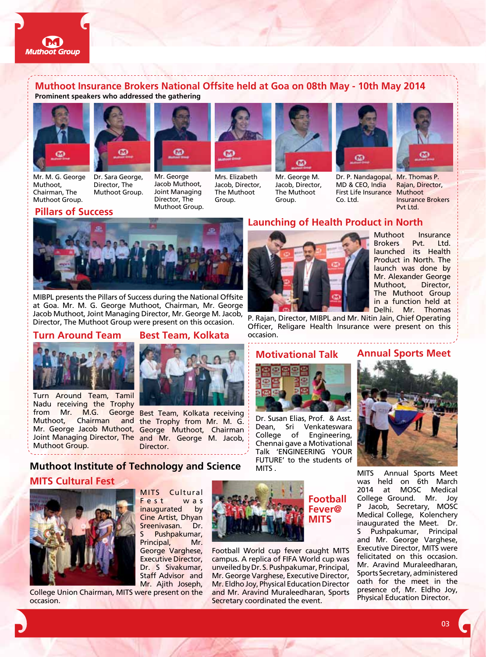

### **Muthoot Insurance Brokers National Offsite held at Goa on 08th May - 10th May 2014 Prominent speakers who addressed the gathering**





Mr. M. G. George Muthoot, Chairman, The Muthoot Group.

Dr. Sara George, Director, The Muthoot Group.



Mr. George Jacob Muthoot, Joint Managing Director, The Muthoot Group.



Mrs. Elizabeth Jacob, Director, The Muthoot Group.



Mr. George M. Jacob, Director, The Muthoot Group.



MD & CEO, India First Life Insurance Muthoot Co. Ltd.



Dr. P. Nandagopal, Mr. Thomas P. Rajan, Director, Insurance Brokers Pvt Ltd.

# **Pillars of Success**



MIBPL presents the Pillars of Success during the National Offsite at Goa. Mr. M. G. George Muthoot, Chairman, Mr. George Jacob Muthoot, Joint Managing Director, Mr. George M. Jacob, Director, The Muthoot Group were present on this occasion.

### **Turn Around Team**



Turn Around Team, Tamil Nadu receiving the Trophy Muthoot, Chairman Joint Managing Director, The Muthoot Group.

# **Best Team, Kolkata**



from Mr. M.G. George Best Team, Kolkata receiving and the Trophy from Mr. M. G. Mr. George Jacob Muthoot, George Muthoot, Chairman and Mr. George M. Jacob, Director.

# **MITS Cultural Fest Muthoot Institute of Technology and Science**



MITS Cultural Fest was inaugurated by Cine Artist, Dhyan Sreenivasan. Dr. Pushpakumar, Principal, Mr. George Varghese, Executive Director, Dr. S Sivakumar, Staff Advisor and Mr. Ajith Joseph,

College Union Chairman, MITS were present on the occasion.



Football World cup fever caught MITS campus. A replica of FIFA World cup was unveiled by Dr. S. Pushpakumar, Principal, Mr. George Varghese, Executive Director, Mr. Eldho Joy, Physical Education Director and Mr. Aravind Muraleedharan, Sports Secretary coordinated the event.

# **Launching of Health Product in North**



Muthoot Insurance<br>Brokers Pyt. Ltd. Pvt. Ltd. launched its Health Product in North. The launch was done by Mr. Alexander George Muthoot, Director, The Muthoot Group in a function held at Delhi. Mr. Thomas

P. Rajan, Director, MIBPL and Mr. Nitin Jain, Chief Operating Officer, Religare Health Insurance were present on this occasion.



Dr. Susan Elias, Prof. & Asst. Dean, Sri Venkateswara College of Engineering, Chennai gave a Motivational Talk 'ENGINEERING YOUR FUTURE' to the students of MITS .

#### **Motivational Talk Annual Sports Meet**



MITS Annual Sports Meet was held on 6th March 2014 at MOSC Medical College Ground. Mr. Joy P Jacob, Secretary, MOSC Medical College, Kolenchery inaugurated the Meet. Dr. S Pushpakumar, Principal and Mr. George Varghese, Executive Director, MITS were felicitated on this occasion. Mr. Aravind Muraleedharan, Sports Secretary, administered oath for the meet in the presence of, Mr. Eldho Joy, Physical Education Director.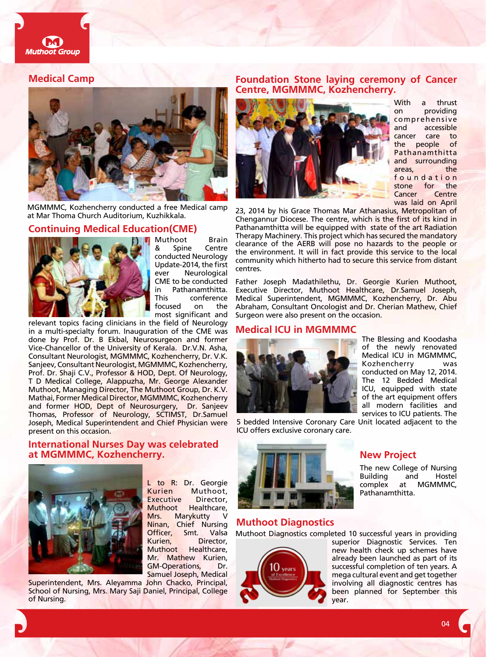

#### **Medical Camp**



MGMMMC, Kozhencherry conducted a free Medical camp at Mar Thoma Church Auditorium, Kuzhikkala.

### **Continuing Medical Education(CME)**



Muthoot Brain Spine Centre conducted Neurology Update-2014, the first ever Neurological CME to be conducted in Pathanamthitta. This conference focused on the most significant and

relevant topics facing clinicians in the field of Neurology in a multi-specialty forum. Inauguration of the CME was done by Prof. Dr. B Ekbal, Neurosurgeon and former Vice-Chancellor of the University of Kerala. Dr.V.N. Asha, Consultant Neurologist, MGMMMC, Kozhencherry, Dr. V.K. Sanjeev, Consultant Neurologist, MGMMMC, Kozhencherry, Prof. Dr. Shaji C.V., Professor & HOD, Dept. Of Neurology, T D Medical College, Alappuzha, Mr. George Alexander Muthoot, Managing Director, The Muthoot Group, Dr. K.V. Mathai, Former Medical Director, MGMMMC, Kozhencherry and former HOD, Dept of Neurosurgery, Dr. Sanjeev Thomas, Professor of Neurology, SCTIMST, Dr.Samuel Joseph, Medical Superintendent and Chief Physician were present on this occasion.

#### **International Nurses Day was celebrated at MGMMMC, Kozhencherry.**



L to R: Dr. Georgie Kurien Muthoot, Executive Director, Muthoot Healthcare, Mrs. Marykutty Ninan, Chief Nursing Officer, Smt. Valsa Kurien, Director, Muthoot Healthcare, Mr. Mathew Kurien, GM-Operations, Dr. Samuel Joseph, Medical

Superintendent, Mrs. Aleyamma John Chacko, Principal, School of Nursing, Mrs. Mary Saji Daniel, Principal, College of Nursing.

#### **Foundation Stone laying ceremony of Cancer Centre, MGMMMC, Kozhencherry.**



With a thrust on providing comprehensive accessible cancer care to the people of Pathanamthitta and surrounding areas, the f o u n d a t i o n stone for the Cancer Centre was laid on April

23, 2014 by his Grace Thomas Mar Athanasius, Metropolitan of Chengannur Diocese. The centre, which is the first of its kind in Pathanamthitta will be equipped with state of the art Radiation Therapy Machinery. This project which has secured the mandatory clearance of the AERB will pose no hazards to the people or the environment. It will in fact provide this service to the local community which hitherto had to secure this service from distant centres.

Father Joseph Madathilethu, Dr. Georgie Kurien Muthoot, Executive Director, Muthoot Healthcare, Dr.Samuel Joseph, Medical Superintendent, MGMMMC, Kozhencherry, Dr. Abu Abraham, Consultant Oncologist and Dr. Cherian Mathew, Chief Surgeon were also present on the occasion.

#### **Medical ICU in MGMMMC**



5 bedded Intensive Coronary Care Unit located adjacent to the ICU offers exclusive coronary care.

The Blessing and Koodasha of the newly renovated Medical ICU in MGMMMC, Kozhencherry was conducted on May 12, 2014. The 12 Bedded Medical ICU, equipped with state of the art equipment offers all modern facilities and services to ICU patients. The

The new College of Nursing Building and Hostel<br>complex at MGMMMC.

at MGMMMC,



#### **Muthoot Diagnostics**

Muthoot Diagnostics completed 10 successful years in providing



superior Diagnostic Services. Ten new health check up schemes have already been launched as part of its successful completion of ten years. A mega cultural event and get together involving all diagnostic centres has been planned for September this year.

**New Project**

Pathanamthitta.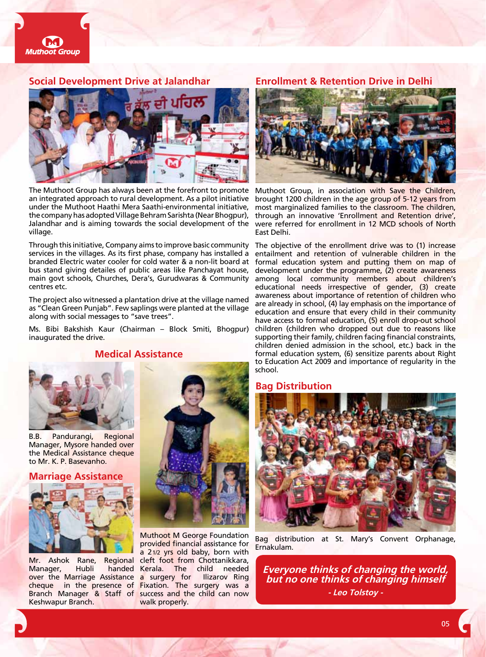

#### **Social Development Drive at Jalandhar Enrollment & Retention Drive in Delhi**



The Muthoot Group has always been at the forefront to promote an integrated approach to rural development. As a pilot initiative under the Muthoot Haathi Mera Saathi-environmental initiative, the company has adopted Village Behram Sarishta (Near Bhogpur), Jalandhar and is aiming towards the social development of the were referred for enrollment in 12 MCD schools of North village.

Through this initiative, Company aims to improve basic community services in the villages. As its first phase, company has installed a branded Electric water cooler for cold water & a non-lit board at bus stand giving detailes of public areas like Panchayat house, main govt schools, Churches, Dera's, Gurudwaras & Community centres etc.

The project also witnessed a plantation drive at the village named as "Clean Green Punjab". Few saplings were planted at the village along with social messages to "save trees".

Ms. Bibi Bakshish Kaur (Chairman – Block Smiti, Bhogpur) inaugurated the drive.

**Medical Assistance**

B.B. Pandurangi, Regional Manager, Mysore handed over the Medical Assistance cheque to Mr. K. P. Basevanho.

**Marriage Assistance**



Mr. Ashok Rane, Regional Manager, Hubli handed over the Marriage Assistance Keshwapur Branch.



cheque in the presence of Fixation. The surgery was a Branch Manager & Staff of success and the child can now Muthoot M George Foundation provided financial assistance for a 21/2 yrs old baby, born with cleft foot from Chottanikkara, Kerala. The child needed a surgery for Ilizarov Ring walk properly.



Muthoot Group, in association with Save the Children, brought 1200 children in the age group of 5-12 years from most marginalized families to the classroom. The children, through an innovative 'Enrollment and Retention drive', East Delhi.

The objective of the enrollment drive was to (1) increase entailment and retention of vulnerable children in the formal education system and putting them on map of development under the programme, (2) create awareness among local community members about children's educational needs irrespective of gender, (3) create awareness about importance of retention of children who are already in school, (4) lay emphasis on the importance of education and ensure that every child in their community have access to formal education, (5) enroll drop-out school children (children who dropped out due to reasons like supporting their family, children facing financial constraints, children denied admission in the school, etc.) back in the formal education system, (6) sensitize parents about Right to Education Act 2009 and importance of regularity in the school.

#### **Bag Distribution**



Bag distribution at St. Mary's Convent Orphanage, Ernakulam.

**Everyone thinks of changing the world, but no one thinks of changing himself - Leo Tolstoy -**